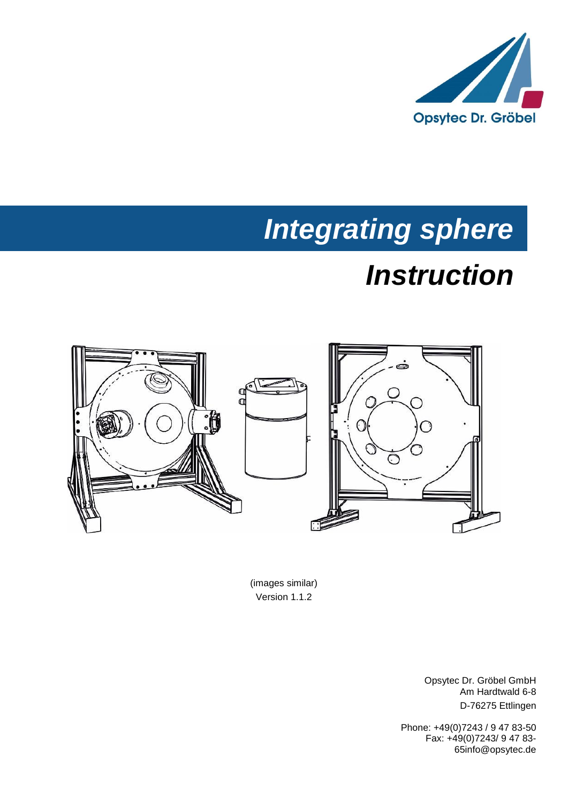

# *Integrating sphere*

# *Instruction*



(images similar) Version 1.1.2

> Opsytec Dr. Gröbel GmbH Am Hardtwald 6-8 D-76275 Ettlingen

Phone: +49(0)7243 / 9 47 83-50 Fax: +49(0)7243/ 9 47 83- 65info@opsytec.de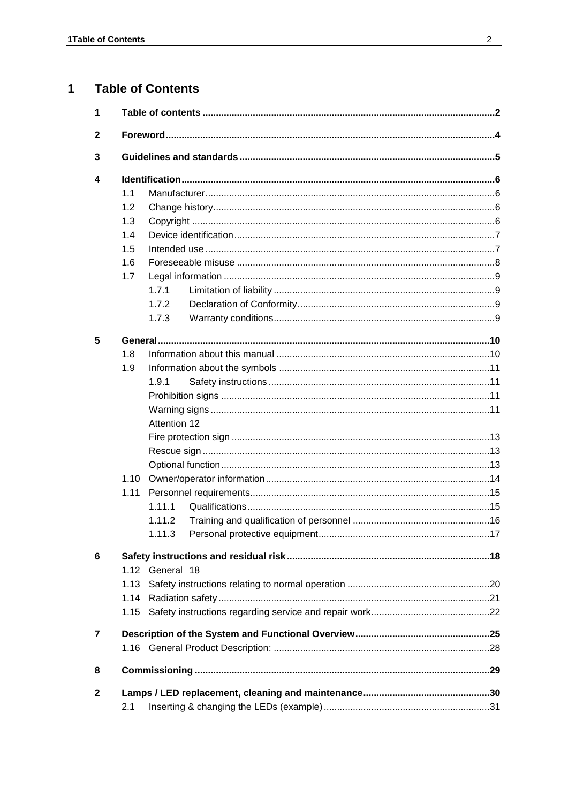#### $\mathbf{1}$ **Table of Contents**

| 1              |      |                 |  |  |  |  |
|----------------|------|-----------------|--|--|--|--|
| $\mathbf{2}$   |      |                 |  |  |  |  |
| 3              |      |                 |  |  |  |  |
| 4              |      |                 |  |  |  |  |
|                | 1.1  |                 |  |  |  |  |
|                | 1.2  |                 |  |  |  |  |
|                | 1.3  |                 |  |  |  |  |
|                | 1.4  |                 |  |  |  |  |
|                | 1.5  |                 |  |  |  |  |
|                | 1.6  |                 |  |  |  |  |
|                | 1.7  |                 |  |  |  |  |
|                |      | 1.7.1           |  |  |  |  |
|                |      | 1.7.2           |  |  |  |  |
|                |      | 1.7.3           |  |  |  |  |
| 5              |      |                 |  |  |  |  |
|                | 1.8  |                 |  |  |  |  |
|                | 1.9  |                 |  |  |  |  |
|                |      | 1.9.1           |  |  |  |  |
|                |      |                 |  |  |  |  |
|                |      |                 |  |  |  |  |
|                |      | Attention 12    |  |  |  |  |
|                |      |                 |  |  |  |  |
|                |      |                 |  |  |  |  |
|                |      |                 |  |  |  |  |
|                | 1.10 |                 |  |  |  |  |
|                | 1.11 |                 |  |  |  |  |
|                |      | 1.11.1          |  |  |  |  |
|                |      | 1.11.2          |  |  |  |  |
|                |      |                 |  |  |  |  |
| 6              |      |                 |  |  |  |  |
|                |      | 1.12 General 18 |  |  |  |  |
|                | 1.13 |                 |  |  |  |  |
|                | 1.14 |                 |  |  |  |  |
|                | 1.15 |                 |  |  |  |  |
| $\overline{7}$ |      |                 |  |  |  |  |
|                |      |                 |  |  |  |  |
| 8              |      |                 |  |  |  |  |
| $\mathbf{2}$   |      |                 |  |  |  |  |
|                | 2.1  |                 |  |  |  |  |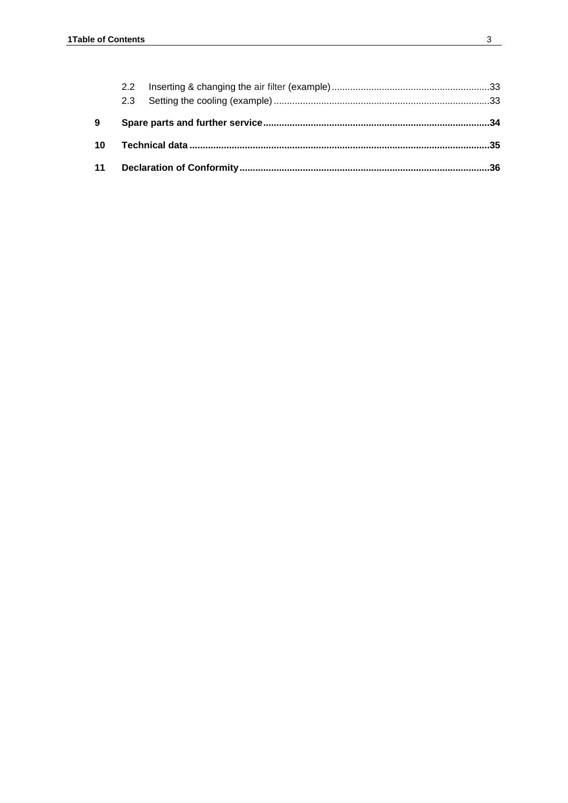| 9 |  |  |
|---|--|--|
|   |  |  |
|   |  |  |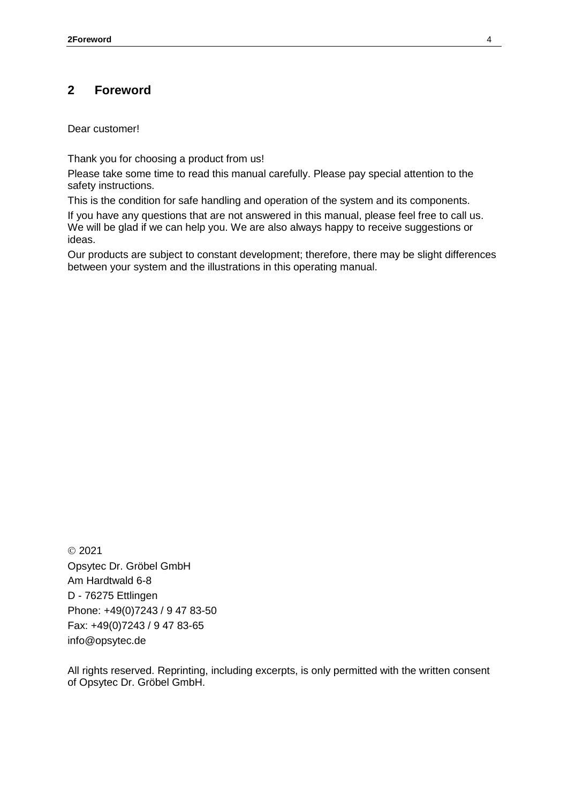## **2 Foreword**

Dear customer!

Thank you for choosing a product from us!

Please take some time to read this manual carefully. Please pay special attention to the safety instructions.

This is the condition for safe handling and operation of the system and its components.

If you have any questions that are not answered in this manual, please feel free to call us. We will be glad if we can help you. We are also always happy to receive suggestions or ideas.

Our products are subject to constant development; therefore, there may be slight differences between your system and the illustrations in this operating manual.

 2021 Opsytec Dr. Gröbel GmbH Am Hardtwald 6-8 D - 76275 Ettlingen Phone: +49(0)7243 / 9 47 83-50 Fax: +49(0)7243 / 9 47 83-65 info@opsytec.de

All rights reserved. Reprinting, including excerpts, is only permitted with the written consent of Opsytec Dr. Gröbel GmbH.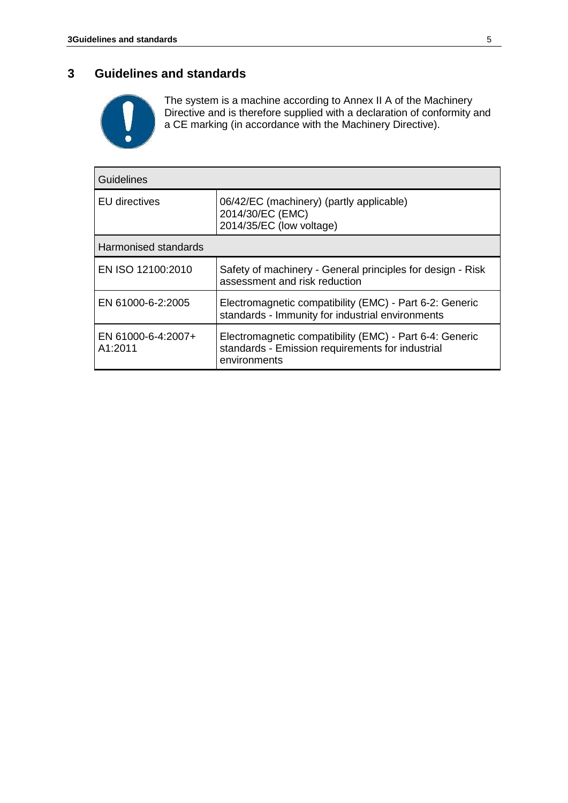## **3 Guidelines and standards**



The system is a machine according to Annex II A of the Machinery Directive and is therefore supplied with a declaration of conformity and a CE marking (in accordance with the Machinery Directive).

| <b>Guidelines</b>             |                                                                                                                             |  |  |  |
|-------------------------------|-----------------------------------------------------------------------------------------------------------------------------|--|--|--|
| <b>EU</b> directives          | 06/42/EC (machinery) (partly applicable)<br>2014/30/EC (EMC)<br>2014/35/EC (low voltage)                                    |  |  |  |
| Harmonised standards          |                                                                                                                             |  |  |  |
| EN ISO 12100:2010             | Safety of machinery - General principles for design - Risk<br>assessment and risk reduction                                 |  |  |  |
| EN 61000-6-2:2005             | Electromagnetic compatibility (EMC) - Part 6-2: Generic<br>standards - Immunity for industrial environments                 |  |  |  |
| EN 61000-6-4:2007+<br>A1:2011 | Electromagnetic compatibility (EMC) - Part 6-4: Generic<br>standards - Emission requirements for industrial<br>environments |  |  |  |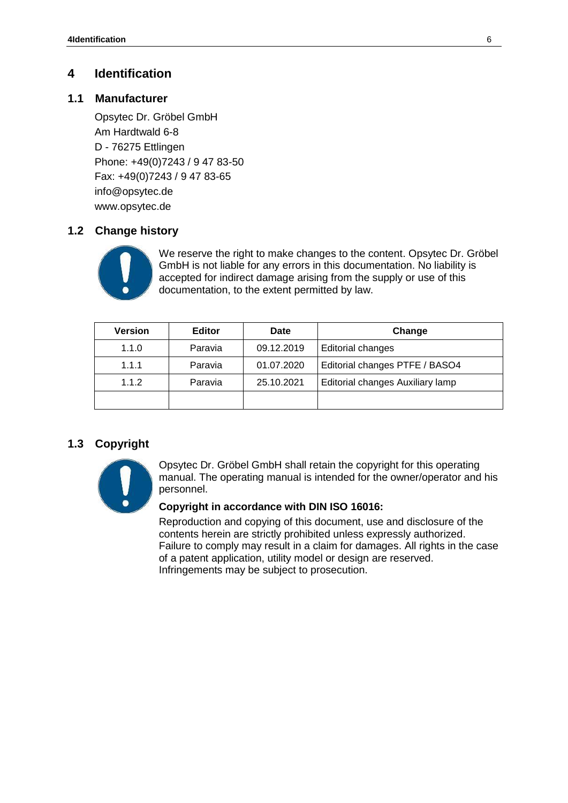## **4 Identification**

## **1.1 Manufacturer**

Opsytec Dr. Gröbel GmbH Am Hardtwald 6-8 D - 76275 Ettlingen Phone: +49(0)7243 / 9 47 83-50 Fax: +49(0)7243 / 9 47 83-65 info@opsytec.de www.opsytec.de

## **1.2 Change history**



We reserve the right to make changes to the content. Opsytec Dr. Gröbel GmbH is not liable for any errors in this documentation. No liability is accepted for indirect damage arising from the supply or use of this documentation, to the extent permitted by law.

| <b>Version</b> | <b>Editor</b> | <b>Date</b> | Change                           |
|----------------|---------------|-------------|----------------------------------|
| 1.1.0          | Paravia       | 09.12.2019  | Editorial changes                |
| 1.1.1          | Paravia       | 01.07.2020  | Editorial changes PTFE / BASO4   |
| 1.1.2          | Paravia       | 25.10.2021  | Editorial changes Auxiliary lamp |
|                |               |             |                                  |

## **1.3 Copyright**



Opsytec Dr. Gröbel GmbH shall retain the copyright for this operating manual. The operating manual is intended for the owner/operator and his personnel.

#### **Copyright in accordance with DIN ISO 16016:**

Reproduction and copying of this document, use and disclosure of the contents herein are strictly prohibited unless expressly authorized. Failure to comply may result in a claim for damages. All rights in the case of a patent application, utility model or design are reserved. Infringements may be subject to prosecution.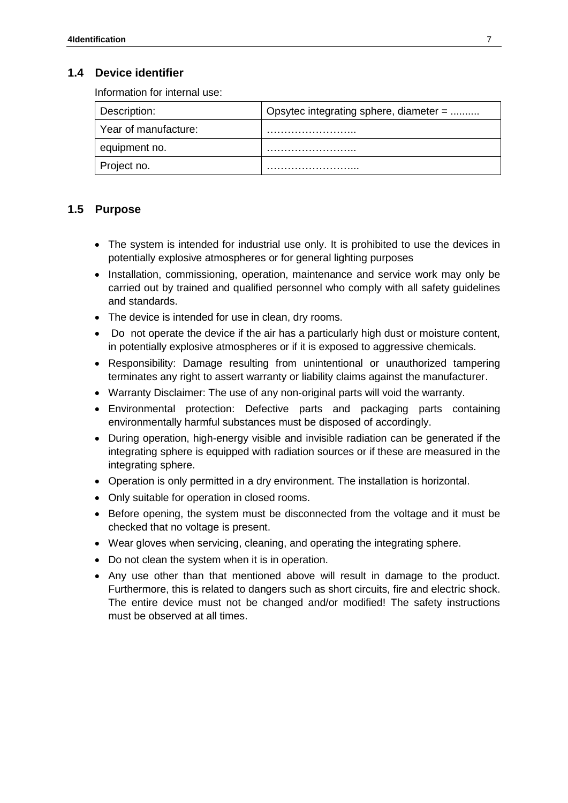## **1.4 Device identifier**

Information for internal use:

| Description:         | Opsytec integrating sphere, diameter = |
|----------------------|----------------------------------------|
| Year of manufacture: |                                        |
| equipment no.        |                                        |
| Project no.          |                                        |

## **1.5 Purpose**

- The system is intended for industrial use only. It is prohibited to use the devices in potentially explosive atmospheres or for general lighting purposes
- Installation, commissioning, operation, maintenance and service work may only be carried out by trained and qualified personnel who comply with all safety guidelines and standards.
- The device is intended for use in clean, dry rooms.
- Do not operate the device if the air has a particularly high dust or moisture content, in potentially explosive atmospheres or if it is exposed to aggressive chemicals.
- Responsibility: Damage resulting from unintentional or unauthorized tampering terminates any right to assert warranty or liability claims against the manufacturer.
- Warranty Disclaimer: The use of any non-original parts will void the warranty.
- Environmental protection: Defective parts and packaging parts containing environmentally harmful substances must be disposed of accordingly.
- During operation, high-energy visible and invisible radiation can be generated if the integrating sphere is equipped with radiation sources or if these are measured in the integrating sphere.
- Operation is only permitted in a dry environment. The installation is horizontal.
- Only suitable for operation in closed rooms.
- Before opening, the system must be disconnected from the voltage and it must be checked that no voltage is present.
- Wear gloves when servicing, cleaning, and operating the integrating sphere.
- Do not clean the system when it is in operation.
- Any use other than that mentioned above will result in damage to the product. Furthermore, this is related to dangers such as short circuits, fire and electric shock. The entire device must not be changed and/or modified! The safety instructions must be observed at all times.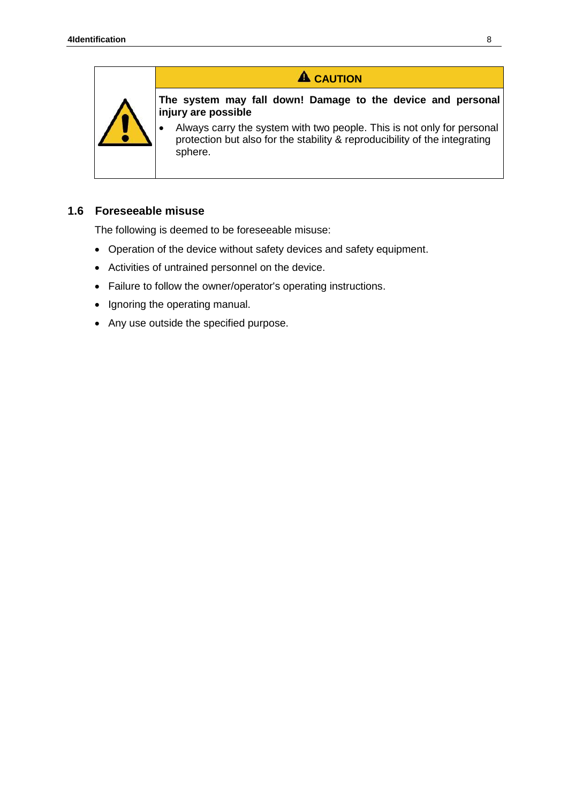

## **A** CAUTION

**The system may fall down! Damage to the device and personal injury are possible**

• Always carry the system with two people. This is not only for personal protection but also for the stability & reproducibility of the integrating sphere.

#### **1.6 Foreseeable misuse**

The following is deemed to be foreseeable misuse:

- Operation of the device without safety devices and safety equipment.
- Activities of untrained personnel on the device.
- Failure to follow the owner/operator's operating instructions.
- Ignoring the operating manual.
- Any use outside the specified purpose.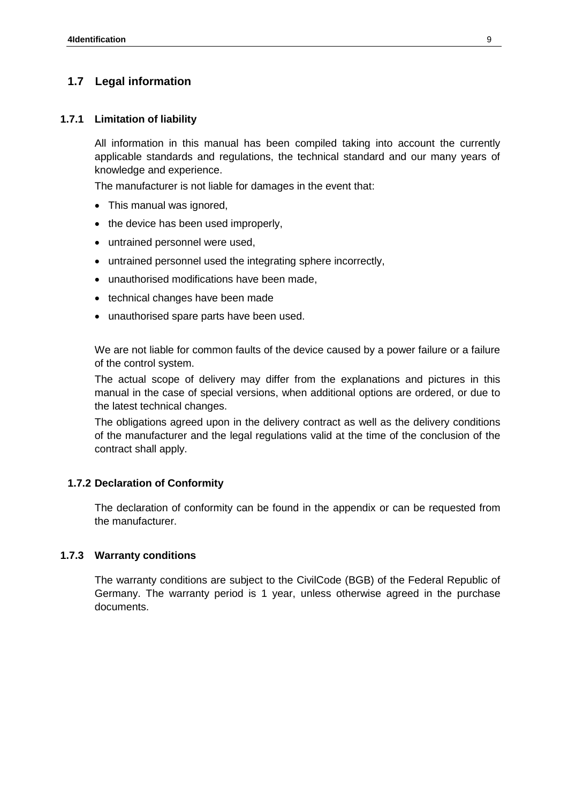## **1.7 Legal information**

#### **1.7.1 Limitation of liability**

All information in this manual has been compiled taking into account the currently applicable standards and regulations, the technical standard and our many years of knowledge and experience.

The manufacturer is not liable for damages in the event that:

- This manual was ignored.
- the device has been used improperly,
- untrained personnel were used,
- untrained personnel used the integrating sphere incorrectly,
- unauthorised modifications have been made,
- technical changes have been made
- unauthorised spare parts have been used.

We are not liable for common faults of the device caused by a power failure or a failure of the control system.

The actual scope of delivery may differ from the explanations and pictures in this manual in the case of special versions, when additional options are ordered, or due to the latest technical changes.

The obligations agreed upon in the delivery contract as well as the delivery conditions of the manufacturer and the legal regulations valid at the time of the conclusion of the contract shall apply.

#### **1.7.2 Declaration of Conformity**

The declaration of conformity can be found in the appendix or can be requested from the manufacturer.

#### **1.7.3 Warranty conditions**

The warranty conditions are subject to the [CivilCode \(BGB\) of t](https://www.gesetze-im-internet.de/bundesrecht/bgb/gesamt.pdf)he Federal Republic of Germany. The warranty period is 1 year, unless otherwise agreed in the purchase documents.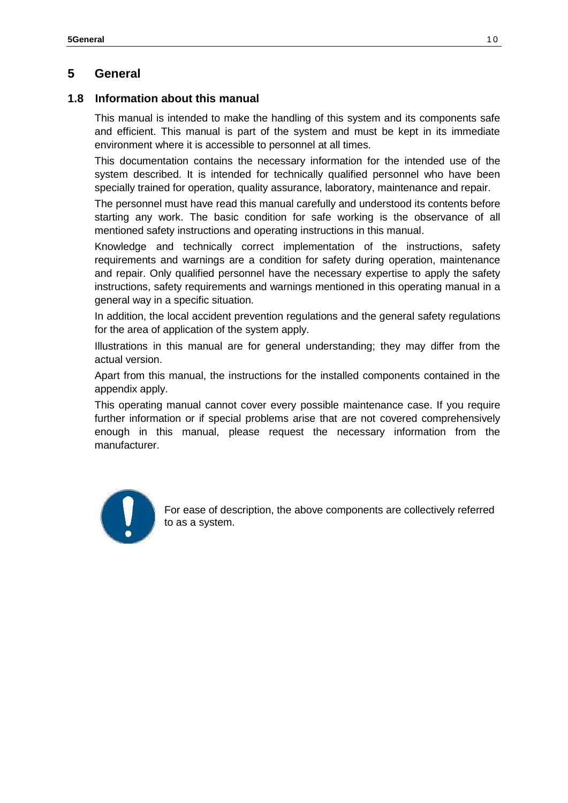## **5 General**

#### **1.8 Information about this manual**

This manual is intended to make the handling of this system and its components safe and efficient. This manual is part of the system and must be kept in its immediate environment where it is accessible to personnel at all times.

This documentation contains the necessary information for the intended use of the system described. It is intended for technically qualified personnel who have been specially trained for operation, quality assurance, laboratory, maintenance and repair.

The personnel must have read this manual carefully and understood its contents before starting any work. The basic condition for safe working is the observance of all mentioned safety instructions and operating instructions in this manual.

Knowledge and technically correct implementation of the instructions, safety requirements and warnings are a condition for safety during operation, maintenance and repair. Only qualified personnel have the necessary expertise to apply the safety instructions, safety requirements and warnings mentioned in this operating manual in a general way in a specific situation.

In addition, the local accident prevention regulations and the general safety regulations for the area of application of the system apply.

Illustrations in this manual are for general understanding; they may differ from the actual version.

Apart from this manual, the instructions for the installed components contained in the appendix apply.

This operating manual cannot cover every possible maintenance case. If you require further information or if special problems arise that are not covered comprehensively enough in this manual, please request the necessary information from the manufacturer.



For ease of description, the above components are collectively referred to as a system.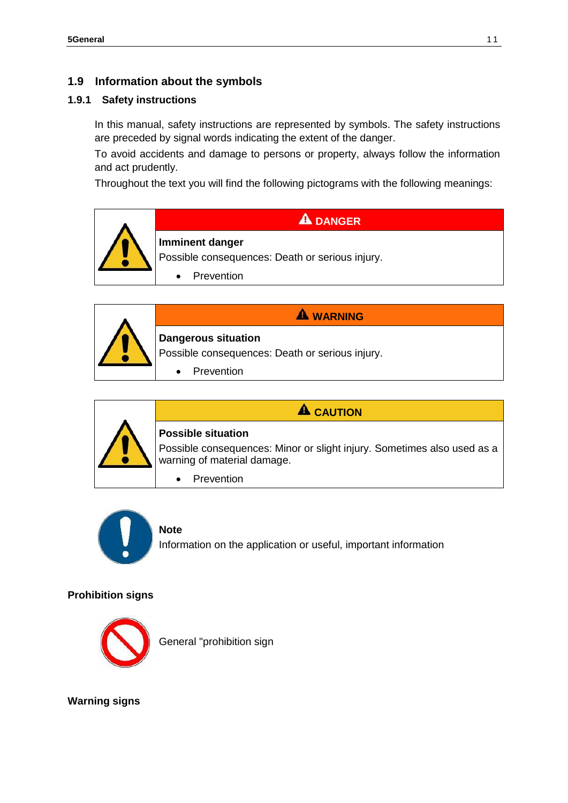## **1.9 Information about the symbols**

#### **1.9.1 Safety instructions**

In this manual, safety instructions are represented by symbols. The safety instructions are preceded by signal words indicating the extent of the danger.

To avoid accidents and damage to persons or property, always follow the information and act prudently.

Throughout the text you will find the following pictograms with the following meanings:







# **A** CAUTION

Possible consequences: Minor or slight injury. Sometimes also used as a warning of material damage.

• Prevention



## **Note**

Information on the application or useful, important information

#### **Prohibition signs**



General "prohibition sign

**Warning signs**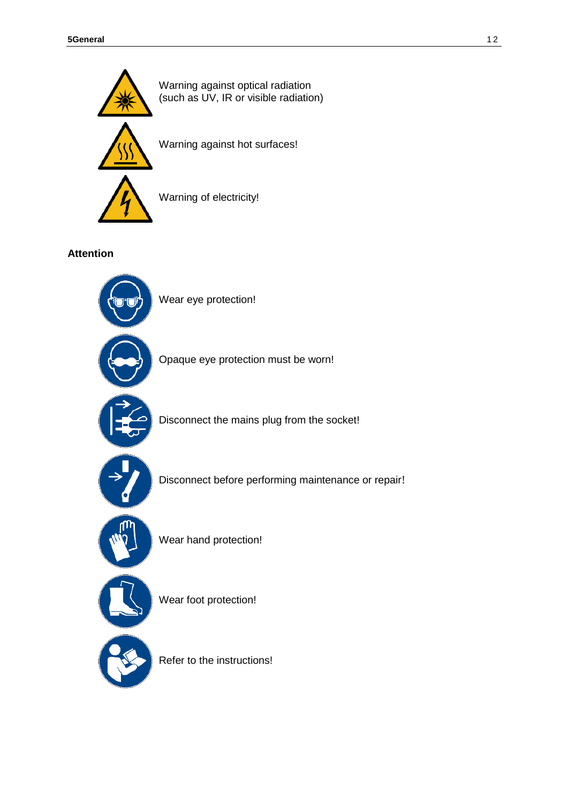

**Attention** 



Wear eye protection!

Opaque eye protection must be worn!



Disconnect the mains plug from the socket!



Disconnect before performing maintenance or repair!



Wear hand protection!



Wear foot protection!

Refer to the instructions!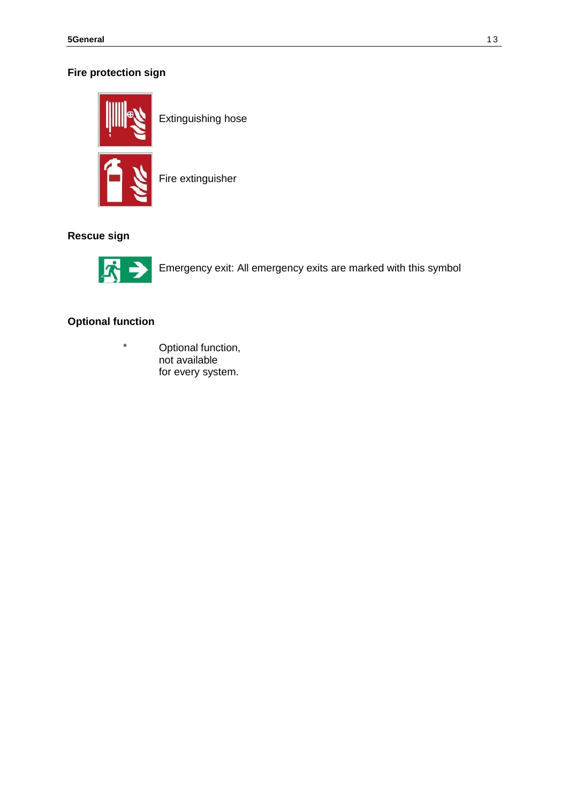## **Fire protection sign**



Extinguishing hose

Fire extinguisher

#### **Rescue sign**



Emergency exit: All emergency exits are marked with this symbol

## **Optional function**

\* Optional function, not available for every system.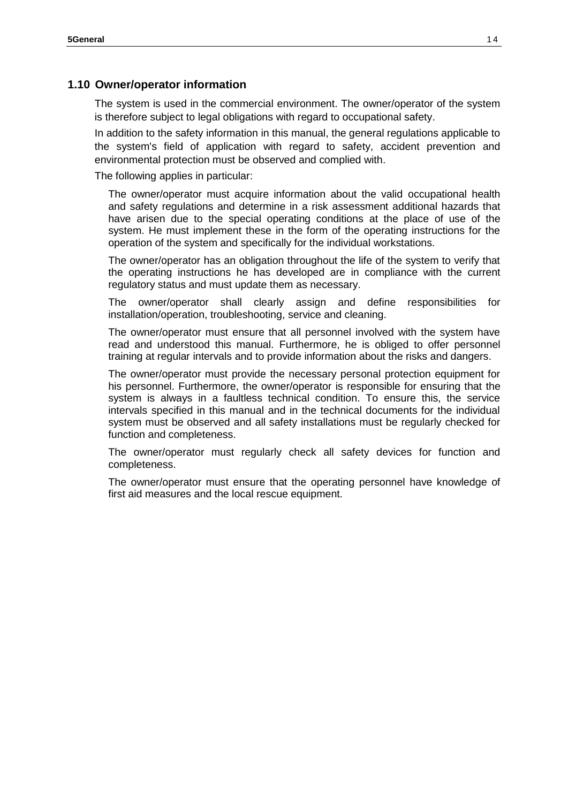#### **1.10 Owner/operator information**

The system is used in the commercial environment. The owner/operator of the system is therefore subject to legal obligations with regard to occupational safety.

In addition to the safety information in this manual, the general regulations applicable to the system's field of application with regard to safety, accident prevention and environmental protection must be observed and complied with.

The following applies in particular:

The owner/operator must acquire information about the valid occupational health and safety regulations and determine in a risk assessment additional hazards that have arisen due to the special operating conditions at the place of use of the system. He must implement these in the form of the operating instructions for the operation of the system and specifically for the individual workstations.

The owner/operator has an obligation throughout the life of the system to verify that the operating instructions he has developed are in compliance with the current regulatory status and must update them as necessary.

The owner/operator shall clearly assign and define responsibilities for installation/operation, troubleshooting, service and cleaning.

The owner/operator must ensure that all personnel involved with the system have read and understood this manual. Furthermore, he is obliged to offer personnel training at regular intervals and to provide information about the risks and dangers.

The owner/operator must provide the necessary personal protection equipment for his personnel. Furthermore, the owner/operator is responsible for ensuring that the system is always in a faultless technical condition. To ensure this, the service intervals specified in this manual and in the technical documents for the individual system must be observed and all safety installations must be regularly checked for function and completeness.

The owner/operator must regularly check all safety devices for function and completeness.

The owner/operator must ensure that the operating personnel have knowledge of first aid measures and the local rescue equipment.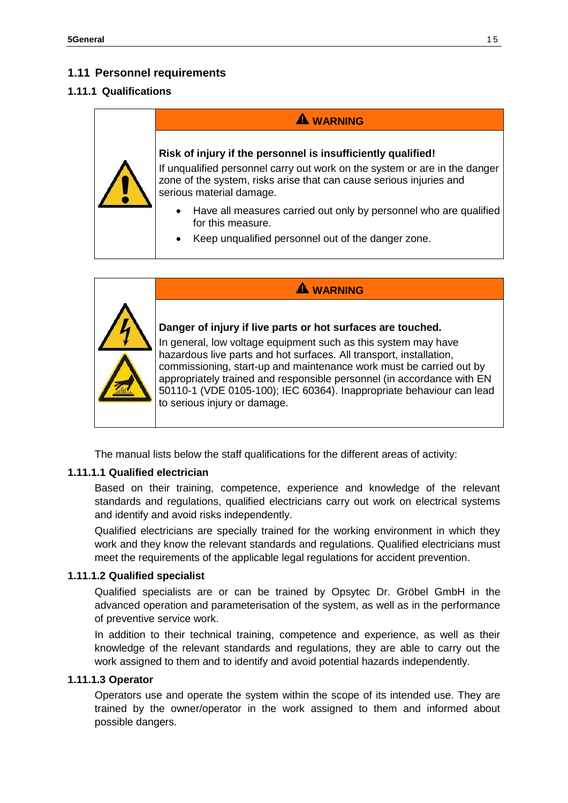## **1.11 Personnel requirements**

#### **1.11.1 Qualifications**

# **A** WARNING **Risk of injury if the personnel is insufficiently qualified!** If unqualified personnel carry out work on the system or are in the danger zone of the system, risks arise that can cause serious injuries and serious material damage. • Have all measures carried out only by personnel who are qualified for this measure. • Keep unqualified personnel out of the danger zone.

| <b>WARNING</b>                                                                                                                                                                                                                                                                                                                                                                                                                                                |
|---------------------------------------------------------------------------------------------------------------------------------------------------------------------------------------------------------------------------------------------------------------------------------------------------------------------------------------------------------------------------------------------------------------------------------------------------------------|
| Danger of injury if live parts or hot surfaces are touched.<br>In general, low voltage equipment such as this system may have<br>hazardous live parts and hot surfaces. All transport, installation,<br>commissioning, start-up and maintenance work must be carried out by<br>appropriately trained and responsible personnel (in accordance with EN<br>50110-1 (VDE 0105-100); IEC 60364). Inappropriate behaviour can lead<br>to serious injury or damage. |

The manual lists below the staff qualifications for the different areas of activity:

#### **1.11.1.1 Qualified electrician**

Based on their training, competence, experience and knowledge of the relevant standards and regulations, qualified electricians carry out work on electrical systems and identify and avoid risks independently.

Qualified electricians are specially trained for the working environment in which they work and they know the relevant standards and regulations. Qualified electricians must meet the requirements of the applicable legal regulations for accident prevention.

#### **1.11.1.2 Qualified specialist**

Qualified specialists are or can be trained by Opsytec Dr. Gröbel GmbH in the advanced operation and parameterisation of the system, as well as in the performance of preventive service work.

In addition to their technical training, competence and experience, as well as their knowledge of the relevant standards and regulations, they are able to carry out the work assigned to them and to identify and avoid potential hazards independently.

#### **1.11.1.3 Operator**

Operators use and operate the system within the scope of its intended use. They are trained by the owner/operator in the work assigned to them and informed about possible dangers.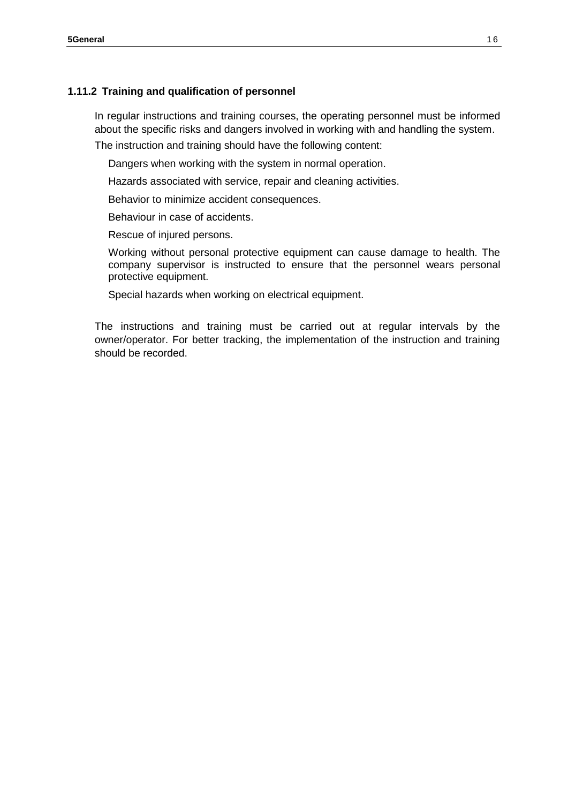#### **1.11.2 Training and qualification of personnel**

In regular instructions and training courses, the operating personnel must be informed about the specific risks and dangers involved in working with and handling the system.

The instruction and training should have the following content:

Dangers when working with the system in normal operation.

Hazards associated with service, repair and cleaning activities.

Behavior to minimize accident consequences.

Behaviour in case of accidents.

Rescue of injured persons.

Working without personal protective equipment can cause damage to health. The company supervisor is instructed to ensure that the personnel wears personal protective equipment.

Special hazards when working on electrical equipment.

The instructions and training must be carried out at regular intervals by the owner/operator. For better tracking, the implementation of the instruction and training should be recorded.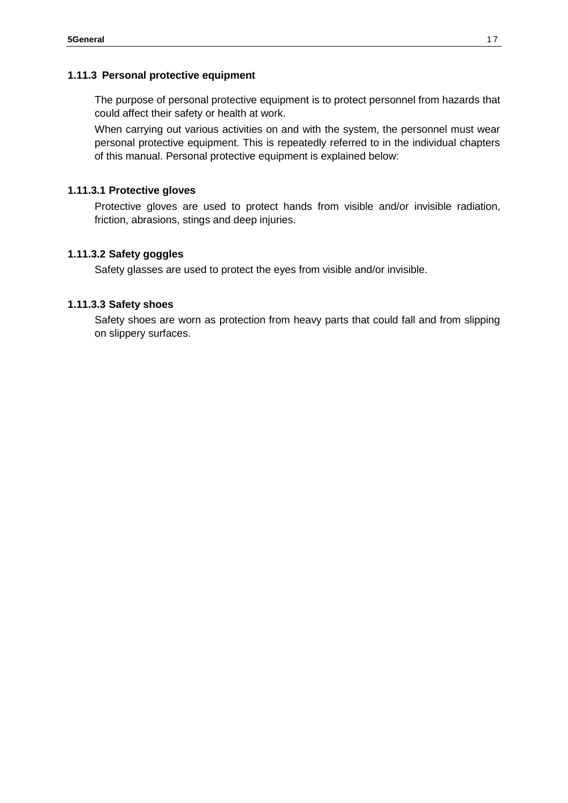#### **1.11.3 Personal protective equipment**

The purpose of personal protective equipment is to protect personnel from hazards that could affect their safety or health at work.

When carrying out various activities on and with the system, the personnel must wear personal protective equipment. This is repeatedly referred to in the individual chapters of this manual. Personal protective equipment is explained below:

#### **1.11.3.1 Protective gloves**

Protective gloves are used to protect hands from visible and/or invisible radiation, friction, abrasions, stings and deep injuries.

#### **1.11.3.2 Safety goggles**

Safety glasses are used to protect the eyes from visible and/or invisible.

#### **1.11.3.3 Safety shoes**

Safety shoes are worn as protection from heavy parts that could fall and from slipping on slippery surfaces.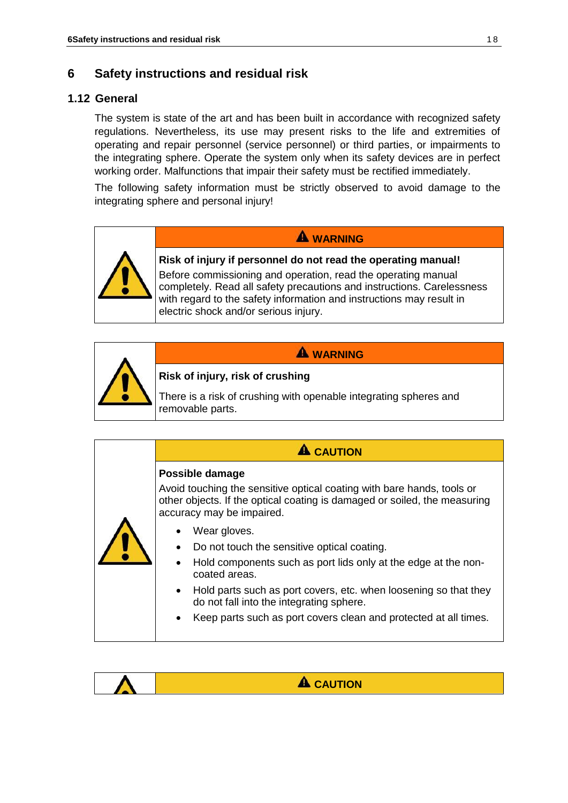## **6 Safety instructions and residual risk**

## **1.12 General**

The system is state of the art and has been built in accordance with recognized safety regulations. Nevertheless, its use may present risks to the life and extremities of operating and repair personnel (service personnel) or third parties, or impairments to the integrating sphere. Operate the system only when its safety devices are in perfect working order. Malfunctions that impair their safety must be rectified immediately.

The following safety information must be strictly observed to avoid damage to the integrating sphere and personal injury!



# **WARNING**

**Risk of injury if personnel do not read the operating manual!**

Before commissioning and operation, read the operating manual completely. Read all safety precautions and instructions. Carelessness with regard to the safety information and instructions may result in electric shock and/or serious injury.

**WARNING**



#### **Risk of injury, risk of crushing**

There is a risk of crushing with openable integrating spheres and removable parts.

## **A** CAUTION

#### **Possible damage**

Avoid touching the sensitive optical coating with bare hands, tools or other objects. If the optical coating is damaged or soiled, the measuring accuracy may be impaired.



- Wear gloves.
- Do not touch the sensitive optical coating.
- Hold components such as port lids only at the edge at the noncoated areas.
- Hold parts such as port covers, etc. when loosening so that they do not fall into the integrating sphere.
- Keep parts such as port covers clean and protected at all times.

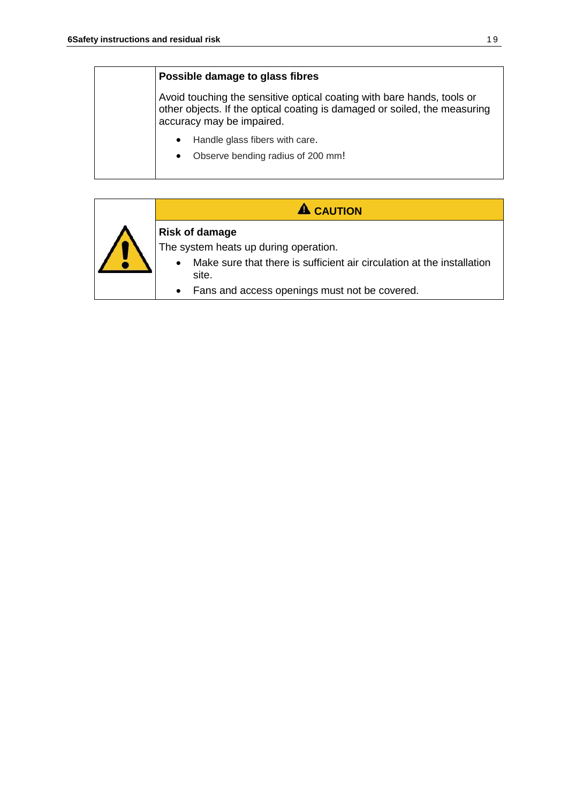#### **Possible damage to glass fibres**

Avoid touching the sensitive optical coating with bare hands, tools or other objects. If the optical coating is damaged or soiled, the measuring accuracy may be impaired.

- Handle glass fibers with care.
- Observe bending radius of 200 mm!

## **A** CAUTION



## **Risk of damage**

The system heats up during operation.

- Make sure that there is sufficient air circulation at the installation site.
- Fans and access openings must not be covered.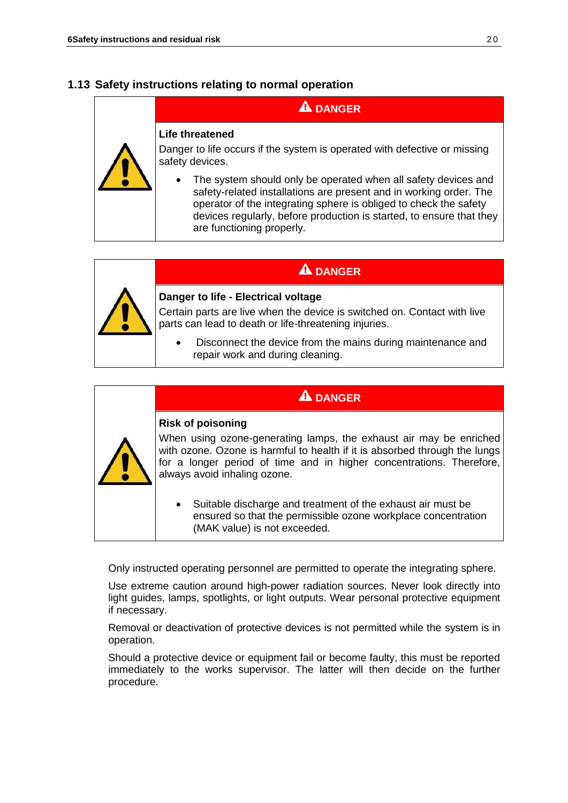## **1.13 Safety instructions relating to normal operation**

## **A** DANGER

#### **Life threatened**

Danger to life occurs if the system is operated with defective or missing safety devices.

The system should only be operated when all safety devices and safety-related installations are present and in working order. The operator of the integrating sphere is obliged to check the safety devices regularly, before production is started, to ensure that they are functioning properly.

## **A** DANGER



## **Danger to life - Electrical voltage**

Certain parts are live when the device is switched on. Contact with live parts can lead to death or life-threatening injuries.

• Disconnect the device from the mains during maintenance and repair work and during cleaning.

## **A** DANGER

#### **Risk of poisoning**

When using ozone-generating lamps, the exhaust air may be enriched with ozone. Ozone is harmful to health if it is absorbed through the lungs for a longer period of time and in higher concentrations. Therefore, always avoid inhaling ozone.

• Suitable discharge and treatment of the exhaust air must be ensured so that the permissible ozone workplace concentration (MAK value) is not exceeded.

Only instructed operating personnel are permitted to operate the integrating sphere.

Use extreme caution around high-power radiation sources. Never look directly into light guides, lamps, spotlights, or light outputs. Wear personal protective equipment if necessary.

Removal or deactivation of protective devices is not permitted while the system is in operation.

Should a protective device or equipment fail or become faulty, this must be reported immediately to the works supervisor. The latter will then decide on the further procedure.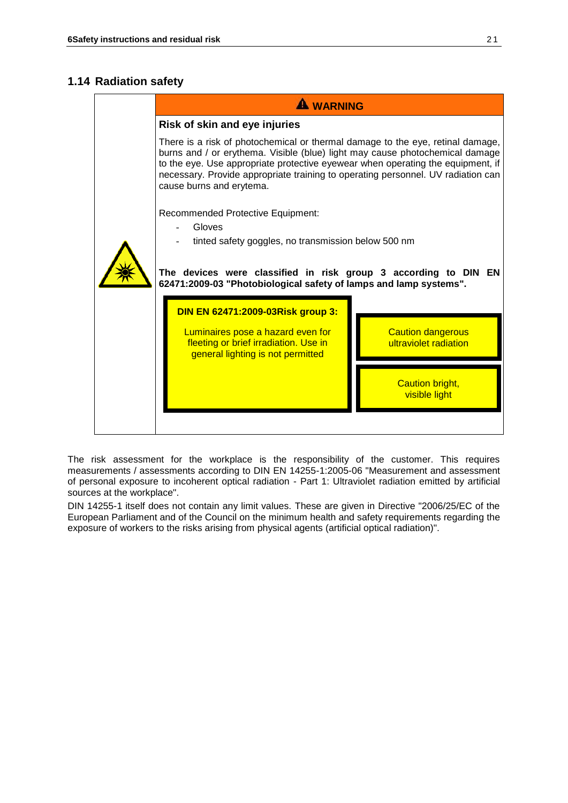## **1.14 Radiation safety**

|  | <b>WARNING</b>                                                                                                                                                                                                                                                                                                                                                    |  |  |
|--|-------------------------------------------------------------------------------------------------------------------------------------------------------------------------------------------------------------------------------------------------------------------------------------------------------------------------------------------------------------------|--|--|
|  | Risk of skin and eye injuries                                                                                                                                                                                                                                                                                                                                     |  |  |
|  | There is a risk of photochemical or thermal damage to the eye, retinal damage,<br>burns and / or erythema. Visible (blue) light may cause photochemical damage<br>to the eye. Use appropriate protective eyewear when operating the equipment, if<br>necessary. Provide appropriate training to operating personnel. UV radiation can<br>cause burns and erytema. |  |  |
|  | <b>Recommended Protective Equipment:</b><br>Gloves<br>tinted safety goggles, no transmission below 500 nm<br>The devices were classified in risk group 3 according to DIN EN<br>62471:2009-03 "Photobiological safety of lamps and lamp systems".                                                                                                                 |  |  |
|  | DIN EN 62471:2009-03Risk group 3:                                                                                                                                                                                                                                                                                                                                 |  |  |
|  | Luminaires pose a hazard even for<br><b>Caution dangerous</b><br>fleeting or brief irradiation. Use in<br>ultraviolet radiation<br>general lighting is not permitted                                                                                                                                                                                              |  |  |
|  | <b>Caution bright,</b><br>visible light                                                                                                                                                                                                                                                                                                                           |  |  |
|  |                                                                                                                                                                                                                                                                                                                                                                   |  |  |

The risk assessment for the workplace is the responsibility of the customer. This requires measurements / assessments according to DIN EN 14255-1:2005-06 "Measurement and assessment of personal exposure to incoherent optical radiation - Part 1: Ultraviolet radiation emitted by artificial sources at the workplace".

DIN 14255-1 itself does not contain any limit values. These are given in Directive "2006/25/EC of the European Parliament and of the Council on the minimum health and safety requirements regarding the exposure of workers to the risks arising from physical agents (artificial optical radiation)".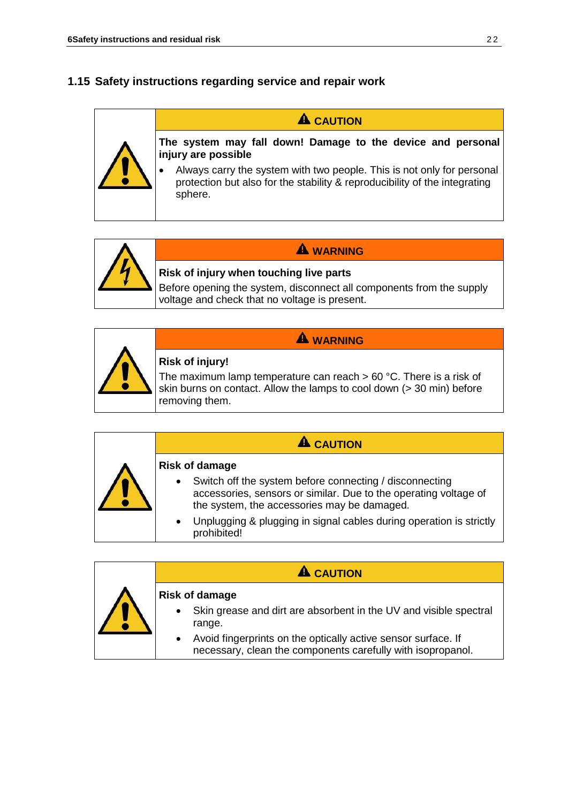## **1.15 Safety instructions regarding service and repair work**

## **A** CAUTION

**The system may fall down! Damage to the device and personal injury are possible**

• Always carry the system with two people. This is not only for personal protection but also for the stability & reproducibility of the integrating sphere.



# **WARNING Risk of injury when touching live parts**

Before opening the system, disconnect all components from the supply voltage and check that no voltage is present.

# **WARNING**



## **Risk of injury!**

The maximum lamp temperature can reach  $> 60$  °C. There is a risk of skin burns on contact. Allow the lamps to cool down (> 30 min) before removing them.

|  | $\mathbf A$ CAUTION                                                                                                                                                                     |
|--|-----------------------------------------------------------------------------------------------------------------------------------------------------------------------------------------|
|  | <b>Risk of damage</b>                                                                                                                                                                   |
|  | Switch off the system before connecting / disconnecting<br>$\bullet$<br>accessories, sensors or similar. Due to the operating voltage of<br>the system, the accessories may be damaged. |
|  | Unplugging & plugging in signal cables during operation is strictly<br>$\bullet$<br>prohibited!                                                                                         |

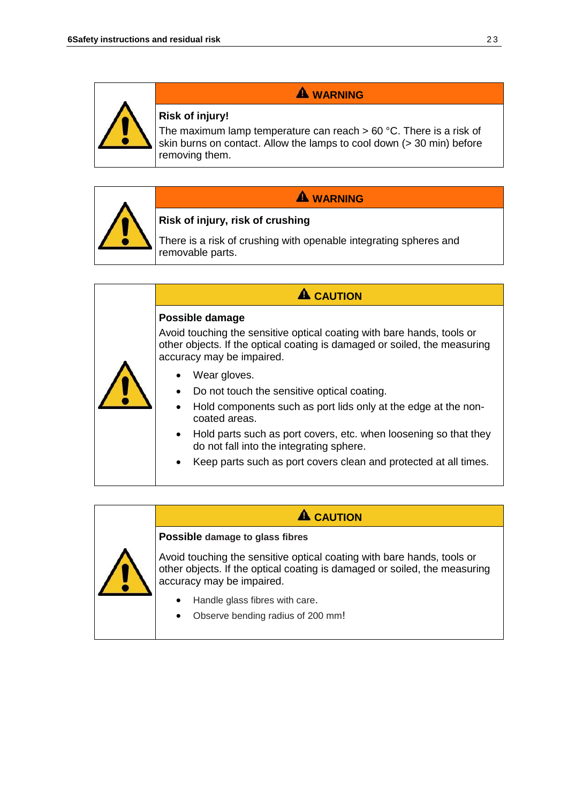

## **WARNING**

## **Risk of injury!**

The maximum lamp temperature can reach > 60 °C. There is a risk of skin burns on contact. Allow the lamps to cool down (> 30 min) before removing them.



## **WARNING**

## **Risk of injury, risk of crushing**

There is a risk of crushing with openable integrating spheres and removable parts.

## **A** CAUTION **Possible damage**  Avoid touching the sensitive optical coating with bare hands, tools or other objects. If the optical coating is damaged or soiled, the measuring accuracy may be impaired. • Wear gloves. • Do not touch the sensitive optical coating. • Hold components such as port lids only at the edge at the noncoated areas.

- Hold parts such as port covers, etc. when loosening so that they do not fall into the integrating sphere.
- Keep parts such as port covers clean and protected at all times.

## **A** CAUTION



Avoid touching the sensitive optical coating with bare hands, tools or other objects. If the optical coating is damaged or soiled, the measuring accuracy may be impaired.

• Handle glass fibres with care.

**Possible damage to glass fibres**

• Observe bending radius of 200 mm!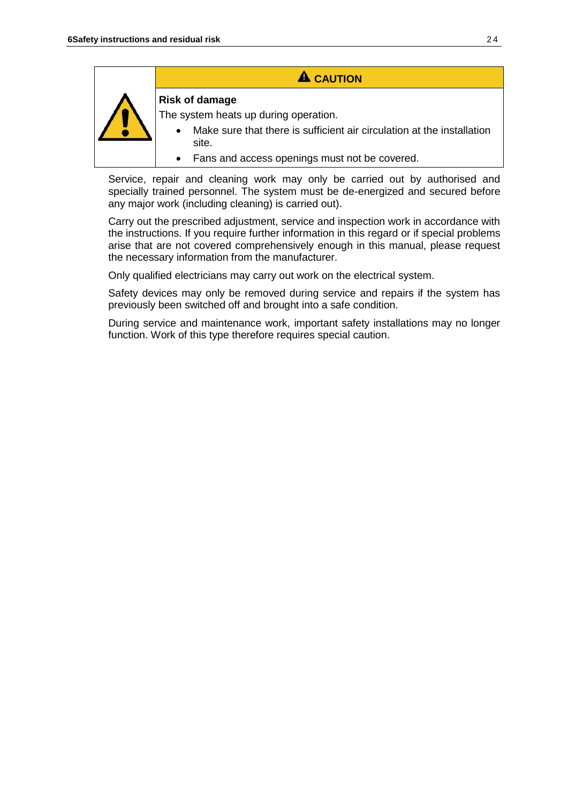| <b>A</b> CAUTION                                                                                                                         |
|------------------------------------------------------------------------------------------------------------------------------------------|
| <b>Risk of damage</b><br>The system heats up during operation.<br>Make sure that there is sufficient air circulation at the installation |
| site.<br>Fans and access openings must not be covered.                                                                                   |

Service, repair and cleaning work may only be carried out by authorised and specially trained personnel. The system must be de-energized and secured before any major work (including cleaning) is carried out).

Carry out the prescribed adjustment, service and inspection work in accordance with the instructions. If you require further information in this regard or if special problems arise that are not covered comprehensively enough in this manual, please request the necessary information from the manufacturer.

Only qualified electricians may carry out work on the electrical system.

Safety devices may only be removed during service and repairs if the system has previously been switched off and brought into a safe condition.

During service and maintenance work, important safety installations may no longer function. Work of this type therefore requires special caution.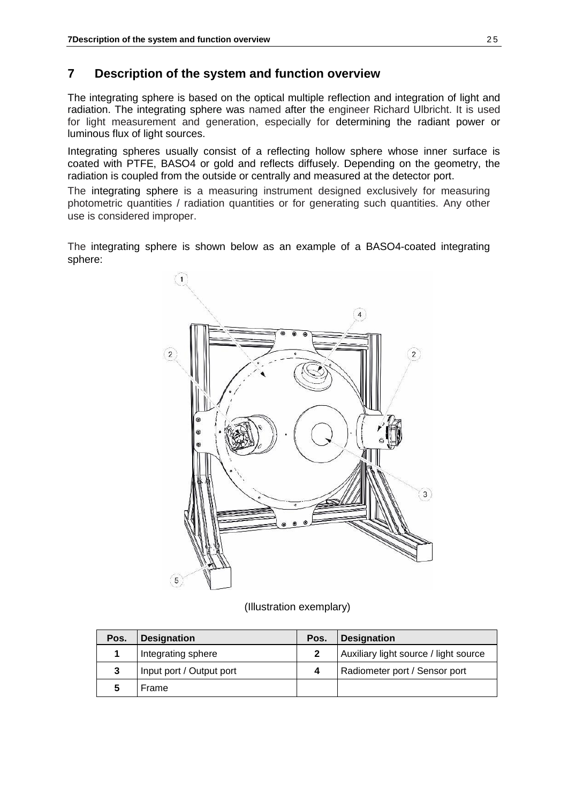## **7 Description of the system and function overview**

The integrating sphere is based on the optical multiple reflection and integration of light and radiation. The integrating sphere was named after the engineer Richard Ulbricht. It is used for light measurement and generation, especially for determining the radiant power or luminous flux of light sources.

Integrating spheres usually consist of a reflecting hollow sphere whose inner surface is coated with PTFE, BASO4 or gold and reflects diffusely. Depending on the geometry, the radiation is coupled from the outside or centrally and measured at the detector port.

The integrating sphere is a measuring instrument designed exclusively for measuring photometric quantities / radiation quantities or for generating such quantities. Any other use is considered improper.

The integrating sphere is shown below as an example of a BASO4-coated integrating sphere:



(Illustration exemplary)

| Pos. | <b>Designation</b>       | Pos. | <b>Designation</b>                    |
|------|--------------------------|------|---------------------------------------|
|      | Integrating sphere       |      | Auxiliary light source / light source |
|      | Input port / Output port |      | Radiometer port / Sensor port         |
|      | Frame                    |      |                                       |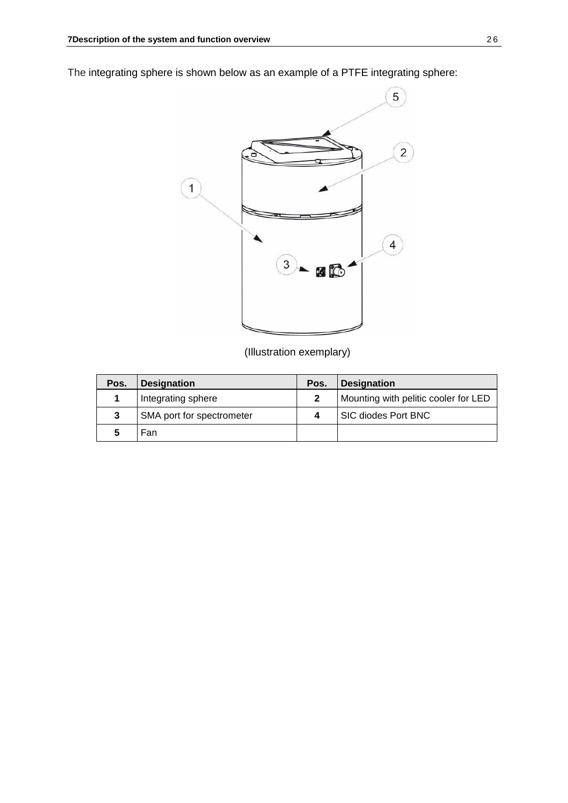The integrating sphere is shown below as an example of a PTFE integrating sphere:



(Illustration exemplary)

| Pos. | <b>Designation</b>        | Pos. | <b>Designation</b>                   |
|------|---------------------------|------|--------------------------------------|
|      | Integrating sphere        |      | Mounting with pelitic cooler for LED |
| 3    | SMA port for spectrometer |      | SIC diodes Port BNC                  |
| 5    | Fan                       |      |                                      |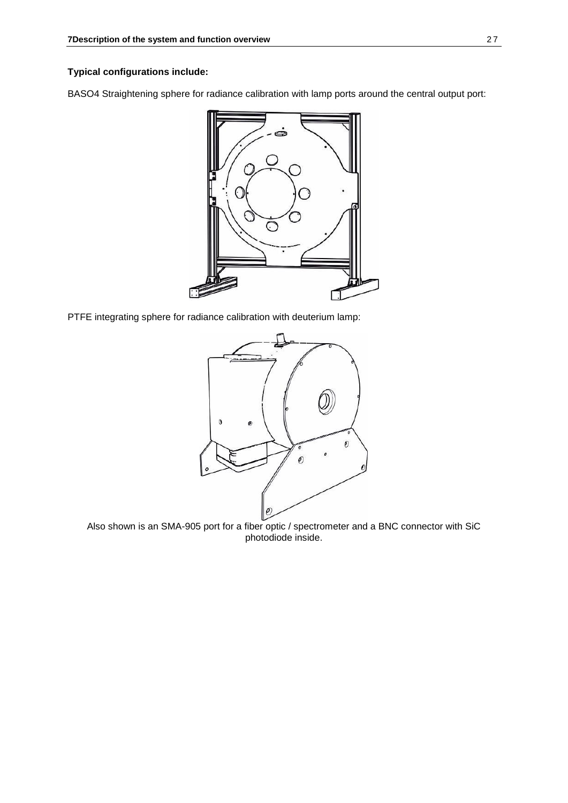#### **Typical configurations include:**

BASO4 Straightening sphere for radiance calibration with lamp ports around the central output port:



PTFE integrating sphere for radiance calibration with deuterium lamp:



Also shown is an SMA-905 port for a fiber optic / spectrometer and a BNC connector with SiC photodiode inside.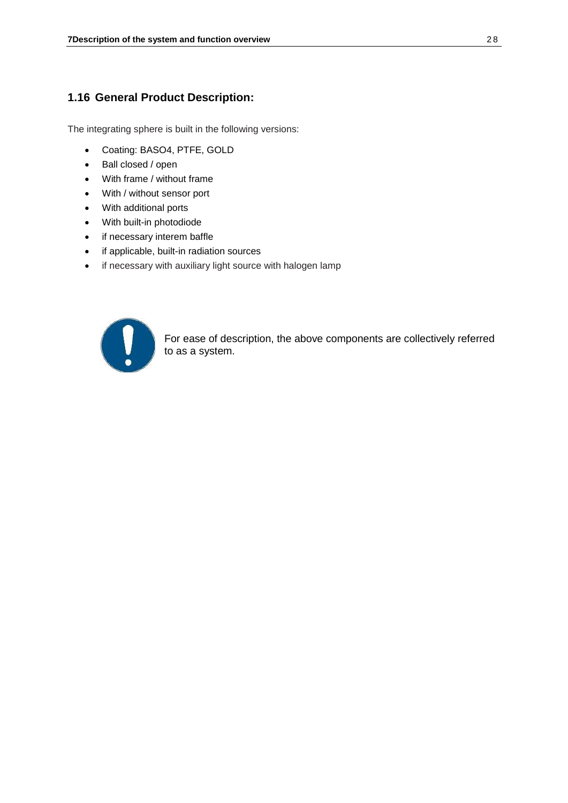#### **1.16 General Product Description:**

The integrating sphere is built in the following versions:

- Coating: BASO4, PTFE, GOLD
- Ball closed / open
- With frame / without frame
- With / without sensor port
- With additional ports
- With built-in photodiode
- if necessary interem baffle
- if applicable, built-in radiation sources
- if necessary with auxiliary light source with halogen lamp



For ease of description, the above components are collectively referred to as a system.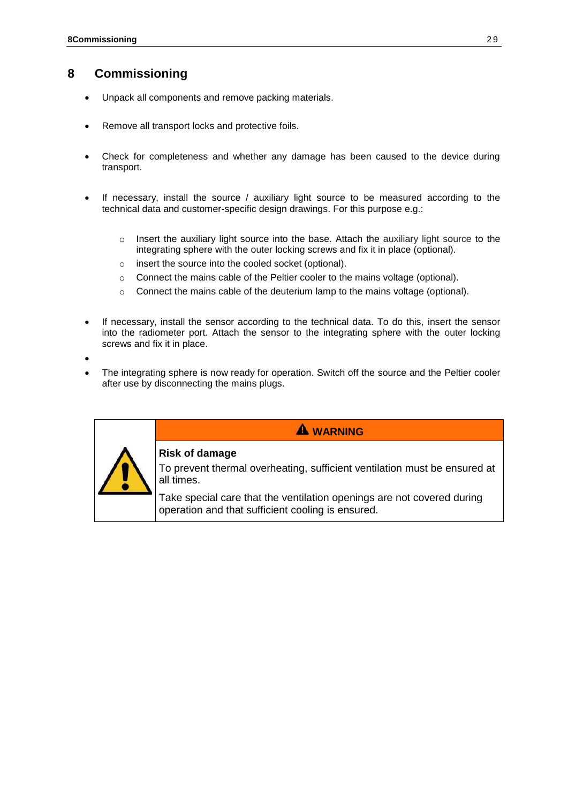## **8 Commissioning**

- Unpack all components and remove packing materials.
- Remove all transport locks and protective foils.
- Check for completeness and whether any damage has been caused to the device during transport.
- If necessary, install the source / auxiliary light source to be measured according to the technical data and customer-specific design drawings. For this purpose e.g.:
	- $\circ$  Insert the auxiliary light source into the base. Attach the auxiliary light source to the integrating sphere with the outer locking screws and fix it in place (optional).
	- o insert the source into the cooled socket (optional).
	- o Connect the mains cable of the Peltier cooler to the mains voltage (optional).
	- o Connect the mains cable of the deuterium lamp to the mains voltage (optional).
- If necessary, install the sensor according to the technical data. To do this, insert the sensor into the radiometer port. Attach the sensor to the integrating sphere with the outer locking screws and fix it in place.

•

The integrating sphere is now ready for operation. Switch off the source and the Peltier cooler after use by disconnecting the mains plugs.

|  | <b>A WARNING</b>                                                                                                            |
|--|-----------------------------------------------------------------------------------------------------------------------------|
|  | <b>Risk of damage</b><br>To prevent thermal overheating, sufficient ventilation must be ensured at<br>all times.            |
|  | Take special care that the ventilation openings are not covered during<br>operation and that sufficient cooling is ensured. |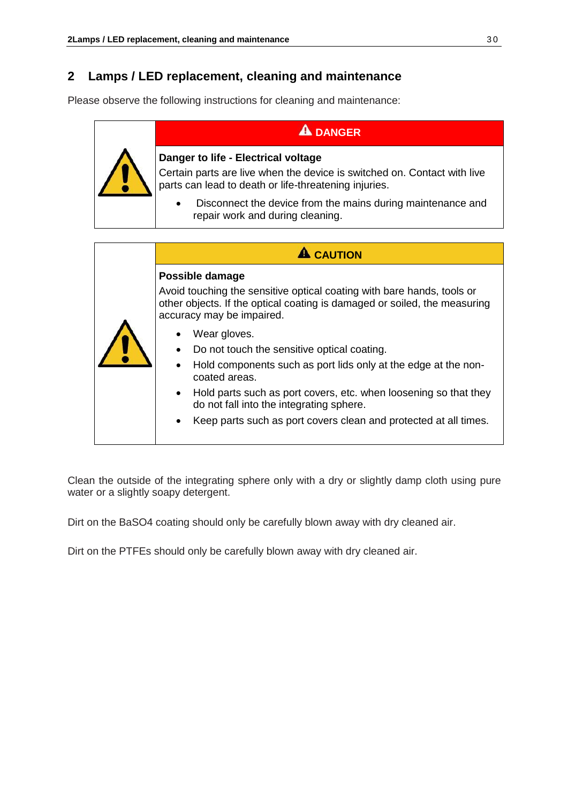## **2 Lamps / LED replacement, cleaning and maintenance**

Please observe the following instructions for cleaning and maintenance:

## **A** DANGER



#### **Danger to life - Electrical voltage**

Certain parts are live when the device is switched on. Contact with live parts can lead to death or life-threatening injuries.

• Disconnect the device from the mains during maintenance and repair work and during cleaning.

|  | <b>CAUTION</b>                                                                                                                                                                                                                                                                                                                                                                                      |
|--|-----------------------------------------------------------------------------------------------------------------------------------------------------------------------------------------------------------------------------------------------------------------------------------------------------------------------------------------------------------------------------------------------------|
|  | Possible damage<br>Avoid touching the sensitive optical coating with bare hands, tools or<br>other objects. If the optical coating is damaged or soiled, the measuring<br>accuracy may be impaired.                                                                                                                                                                                                 |
|  | Wear gloves.<br>$\bullet$<br>Do not touch the sensitive optical coating.<br>$\bullet$<br>Hold components such as port lids only at the edge at the non-<br>$\bullet$<br>coated areas.<br>Hold parts such as port covers, etc. when loosening so that they<br>$\bullet$<br>do not fall into the integrating sphere.<br>Keep parts such as port covers clean and protected at all times.<br>$\bullet$ |

Clean the outside of the integrating sphere only with a dry or slightly damp cloth using pure water or a slightly soapy detergent.

Dirt on the BaSO4 coating should only be carefully blown away with dry cleaned air.

Dirt on the PTFEs should only be carefully blown away with dry cleaned air.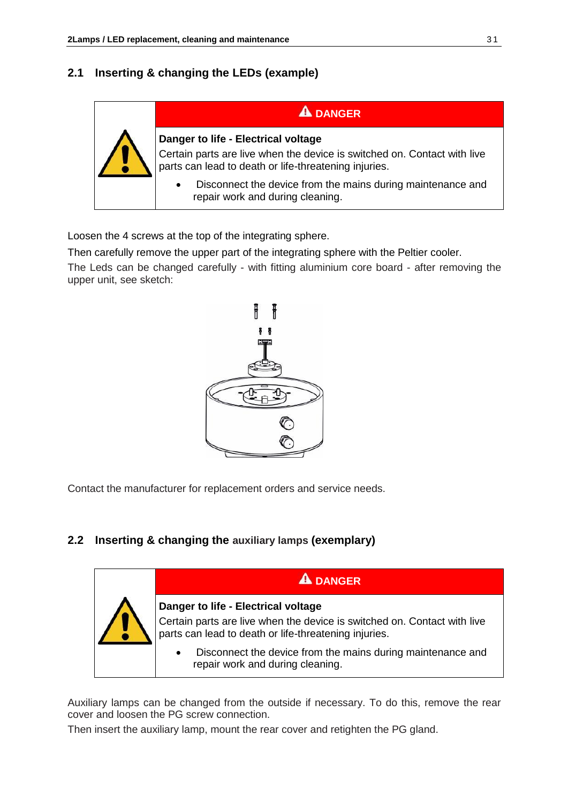## **2.1 Inserting & changing the LEDs (example)**



Loosen the 4 screws at the top of the integrating sphere.

Then carefully remove the upper part of the integrating sphere with the Peltier cooler.

The Leds can be changed carefully - with fitting aluminium core board - after removing the upper unit, see sketch:



Contact the manufacturer for replacement orders and service needs.

## **2.2 Inserting & changing the auxiliary lamps (exemplary)**



Auxiliary lamps can be changed from the outside if necessary. To do this, remove the rear cover and loosen the PG screw connection.

Then insert the auxiliary lamp, mount the rear cover and retighten the PG gland.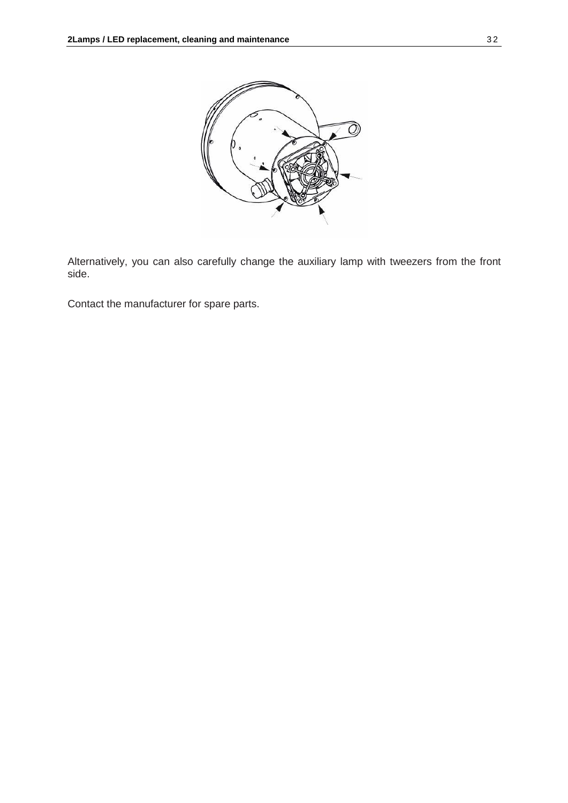

Alternatively, you can also carefully change the auxiliary lamp with tweezers from the front side.

Contact the manufacturer for spare parts.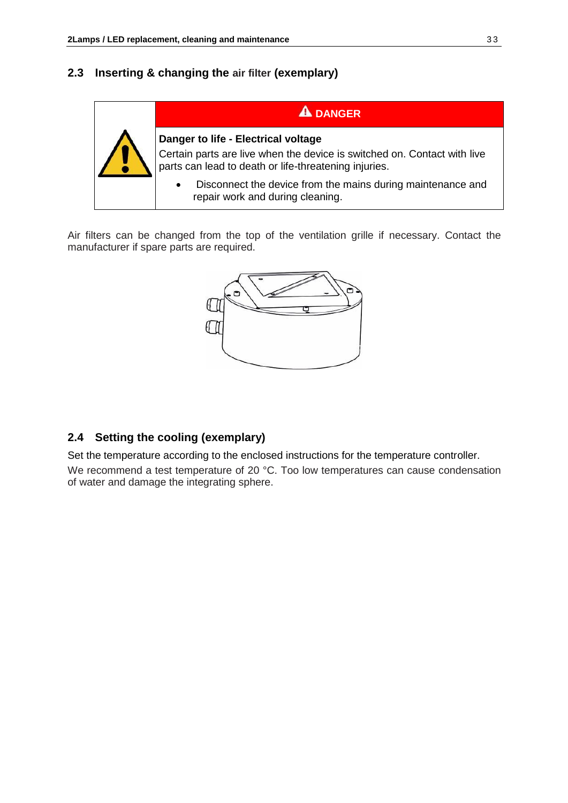## **2.3 Inserting & changing the air filter (exemplary)**



Air filters can be changed from the top of the ventilation grille if necessary. Contact the manufacturer if spare parts are required.



## **2.4 Setting the cooling (exemplary)**

Set the temperature according to the enclosed instructions for the temperature controller. We recommend a test temperature of 20 °C. Too low temperatures can cause condensation of water and damage the integrating sphere.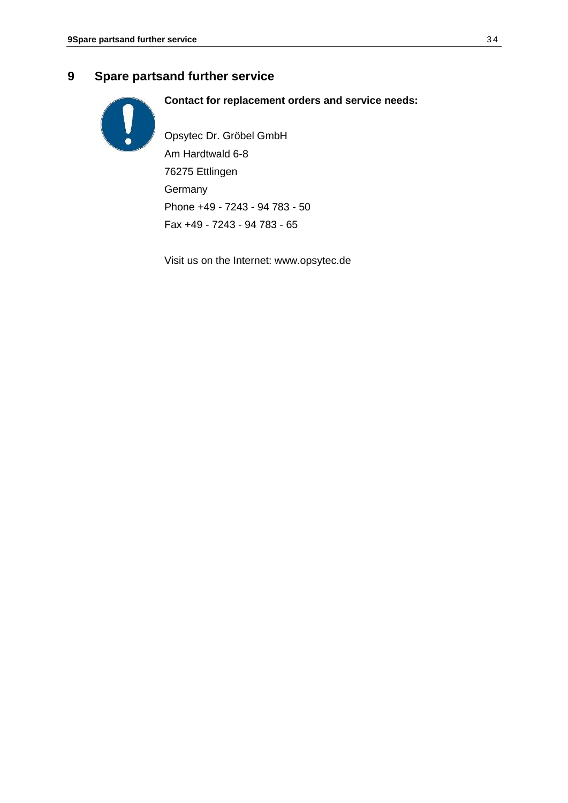## **9 Spare partsand further service**



**Contact for replacement orders and service needs:**

Opsytec Dr. Gröbel GmbH Am Hardtwald 6-8 76275 Ettlingen **Germany** Phone +49 - 7243 - 94 783 - 50 Fax +49 - 7243 - 94 783 - 65

Visit us on the Internet: [www.opsytec.de](http://www.opsytec.de/)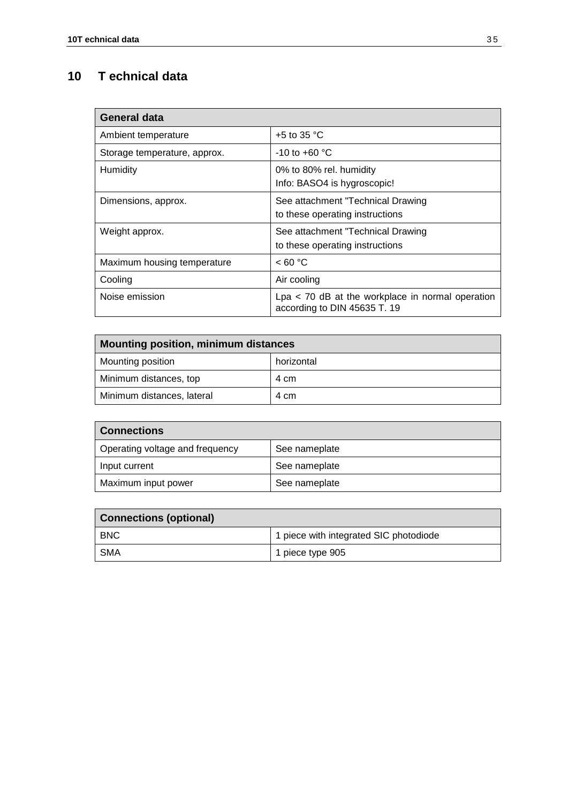## **10 T echnical data**

| <b>General data</b>          |                                                                                    |
|------------------------------|------------------------------------------------------------------------------------|
| Ambient temperature          | $+5$ to 35 °C                                                                      |
| Storage temperature, approx. | $-10$ to $+60$ °C                                                                  |
| Humidity                     | 0% to 80% rel. humidity<br>Info: BASO4 is hygroscopic!                             |
| Dimensions, approx.          | See attachment "Technical Drawing<br>to these operating instructions               |
| Weight approx.               | See attachment "Technical Drawing<br>to these operating instructions               |
| Maximum housing temperature  | < 60 °C                                                                            |
| Cooling                      | Air cooling                                                                        |
| Noise emission               | $Lpa < 70$ dB at the workplace in normal operation<br>according to DIN 45635 T. 19 |

| Mounting position, minimum distances |            |  |  |
|--------------------------------------|------------|--|--|
| Mounting position                    | horizontal |  |  |
| Minimum distances, top               | 4 cm       |  |  |
| Minimum distances, lateral           | 4 cm       |  |  |

| <b>Connections</b>              |               |  |
|---------------------------------|---------------|--|
| Operating voltage and frequency | See nameplate |  |
| Input current                   | See nameplate |  |
| Maximum input power             | See nameplate |  |

| <b>Connections (optional)</b> |                                        |  |
|-------------------------------|----------------------------------------|--|
| <b>BNC</b>                    | 1 piece with integrated SIC photodiode |  |
| SMA                           | 1 piece type 905                       |  |